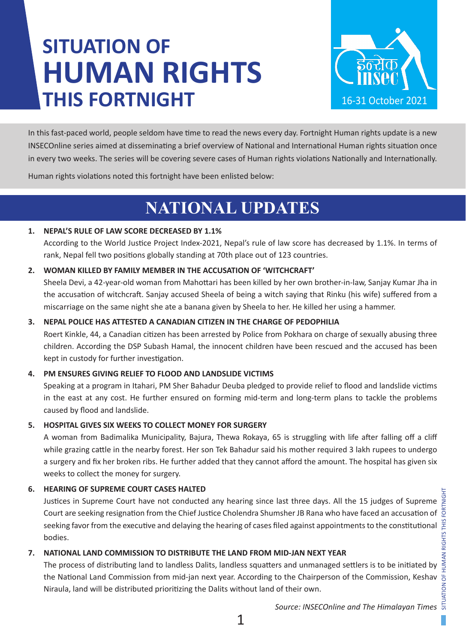# **SITUATION OF HUMAN RIGHTS THIS FORTNIGHT**



In this fast-paced world, people seldom have time to read the news every day. Fortnight Human rights update is a new INSECOnline series aimed at disseminating a brief overview of National and International Human rights situation once in every two weeks. The series will be covering severe cases of Human rights violations Nationally and Internationally.

Human rights violations noted this fortnight have been enlisted below:

### **NATIONAL UPDATES**

### **1. NEPAL'S RULE OF LAW SCORE DECREASED BY 1.1%**

According to the World Justice Project Index-2021, Nepal's rule of law score has decreased by 1.1%. In terms of rank, Nepal fell two positions globally standing at 70th place out of 123 countries.

### **2. WOMAN KILLED BY FAMILY MEMBER IN THE ACCUSATION OF 'WITCHCRAFT'**

Sheela Devi, a 42-year-old woman from Mahottari has been killed by her own brother-in-law, Sanjay Kumar Jha in the accusation of witchcraft. Sanjay accused Sheela of being a witch saying that Rinku (his wife) suffered from a miscarriage on the same night she ate a banana given by Sheela to her. He killed her using a hammer.

### **3. NEPAL POLICE HAS ATTESTED A CANADIAN CITIZEN IN THE CHARGE OF PEDOPHILIA**

Roert Kinkle, 44, a Canadian citizen has been arrested by Police from Pokhara on charge of sexually abusing three children. According the DSP Subash Hamal, the innocent children have been rescued and the accused has been kept in custody for further investigation.

### **4. PM ENSURES GIVING RELIEF TO FLOOD AND LANDSLIDE VICTIMS**

Speaking at a program in Itahari, PM Sher Bahadur Deuba pledged to provide relief to flood and landslide victims in the east at any cost. He further ensured on forming mid-term and long-term plans to tackle the problems caused by flood and landslide.

### **5. HOSPITAL GIVES SIX WEEKS TO COLLECT MONEY FOR SURGERY**

A woman from Badimalika Municipality, Bajura, Thewa Rokaya, 65 is struggling with life after falling off a cliff while grazing cattle in the nearby forest. Her son Tek Bahadur said his mother required 3 lakh rupees to undergo a surgery and fix her broken ribs. He further added that they cannot afford the amount. The hospital has given six weeks to collect the money for surgery.

### **6. HEARING OF SUPREME COURT CASES HALTED**

Justices in Supreme Court have not conducted any hearing since last three days. All the 15 judges of Supreme  $\frac{g}{f}$ Court are seeking resignation from the Chief Justice Cholendra Shumsher JB Rana who have faced an accusation of  $\frac{5}{9}$ seeking favor from the executive and delaying the hearing of cases filed against appointments to the constitutional bodies.

### **7. NATIONAL LAND COMMISSION TO DISTRIBUTE THE LAND FROM MID-JAN NEXT YEAR**

The process of distributing land to landless Dalits, landless squatters and unmanaged settlers is to be initiated by the National Land Commission from mid-jan next year. According to the Chairperson of the Commission, Keshav Niraula, land will be distributed prioritizing the Dalits without land of their own.

*Source: INSECOnline and The Himalayan Times*